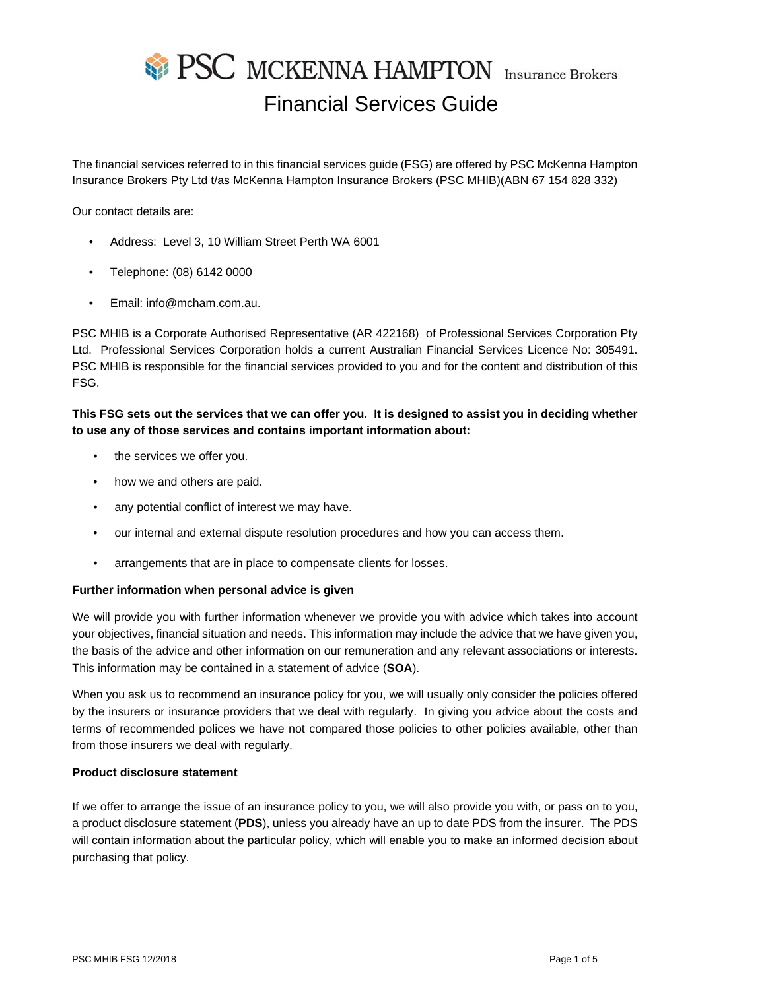# **SEPSC MCKENNA HAMPTON** Insurance Brokers Financial Services Guide

The financial services referred to in this financial services guide (FSG) are offered by PSC McKenna Hampton Insurance Brokers Pty Ltd t/as McKenna Hampton Insurance Brokers (PSC MHIB)(ABN 67 154 828 332)

Our contact details are:

- Address: Level 3, 10 William Street Perth WA 6001
- Telephone: (08) 6142 0000
- Email: info@mcham.com.au.

PSC MHIB is a Corporate Authorised Representative (AR 422168) of Professional Services Corporation Pty Ltd. Professional Services Corporation holds a current Australian Financial Services Licence No: 305491. PSC MHIB is responsible for the financial services provided to you and for the content and distribution of this FSG.

# **This FSG sets out the services that we can offer you. It is designed to assist you in deciding whether to use any of those services and contains important information about:**

- the services we offer you.
- how we and others are paid.
- any potential conflict of interest we may have.
- our internal and external dispute resolution procedures and how you can access them.
- arrangements that are in place to compensate clients for losses.

# **Further information when personal advice is given**

We will provide you with further information whenever we provide you with advice which takes into account your objectives, financial situation and needs. This information may include the advice that we have given you, the basis of the advice and other information on our remuneration and any relevant associations or interests. This information may be contained in a statement of advice (**SOA**).

When you ask us to recommend an insurance policy for you, we will usually only consider the policies offered by the insurers or insurance providers that we deal with regularly. In giving you advice about the costs and terms of recommended polices we have not compared those policies to other policies available, other than from those insurers we deal with regularly.

## **Product disclosure statement**

If we offer to arrange the issue of an insurance policy to you, we will also provide you with, or pass on to you, a product disclosure statement (**PDS**), unless you already have an up to date PDS from the insurer. The PDS will contain information about the particular policy, which will enable you to make an informed decision about purchasing that policy.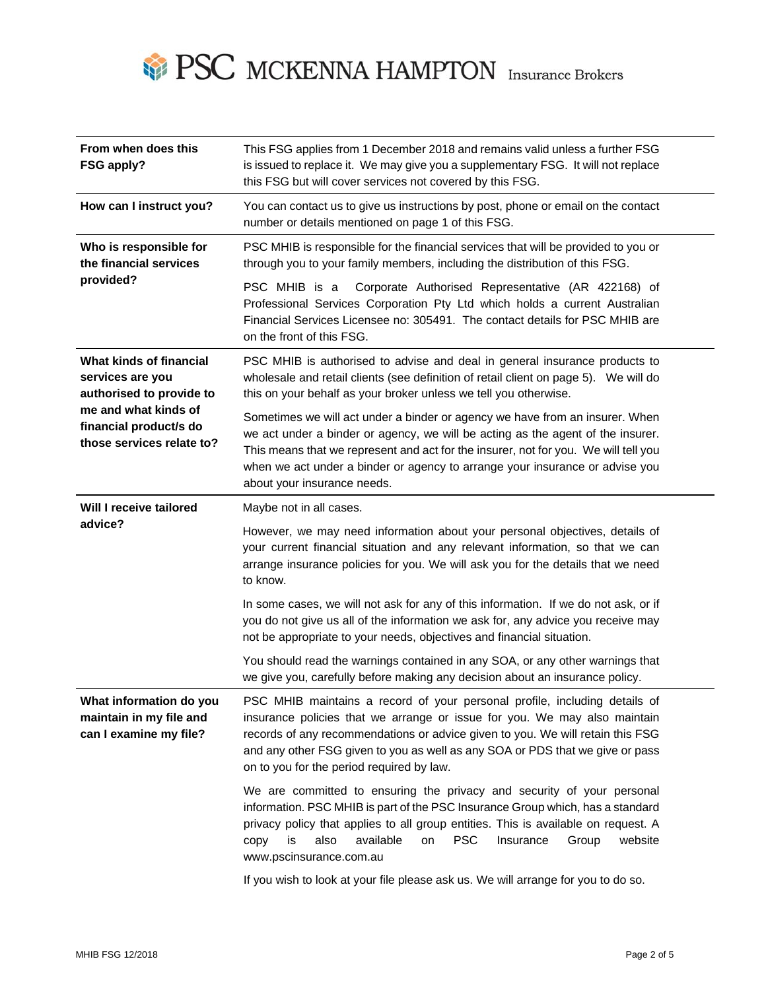

| From when does this<br>FSG apply?                                                                                                                      | This FSG applies from 1 December 2018 and remains valid unless a further FSG<br>is issued to replace it. We may give you a supplementary FSG. It will not replace<br>this FSG but will cover services not covered by this FSG.                                                                                                                                          |  |  |
|--------------------------------------------------------------------------------------------------------------------------------------------------------|-------------------------------------------------------------------------------------------------------------------------------------------------------------------------------------------------------------------------------------------------------------------------------------------------------------------------------------------------------------------------|--|--|
| How can I instruct you?                                                                                                                                | You can contact us to give us instructions by post, phone or email on the contact<br>number or details mentioned on page 1 of this FSG.                                                                                                                                                                                                                                 |  |  |
| Who is responsible for<br>the financial services<br>provided?                                                                                          | PSC MHIB is responsible for the financial services that will be provided to you or<br>through you to your family members, including the distribution of this FSG.                                                                                                                                                                                                       |  |  |
|                                                                                                                                                        | PSC MHIB is a<br>Corporate Authorised Representative (AR 422168) of<br>Professional Services Corporation Pty Ltd which holds a current Australian<br>Financial Services Licensee no: 305491. The contact details for PSC MHIB are<br>on the front of this FSG.                                                                                                          |  |  |
| What kinds of financial<br>services are you<br>authorised to provide to<br>me and what kinds of<br>financial product/s do<br>those services relate to? | PSC MHIB is authorised to advise and deal in general insurance products to<br>wholesale and retail clients (see definition of retail client on page 5). We will do<br>this on your behalf as your broker unless we tell you otherwise.                                                                                                                                  |  |  |
|                                                                                                                                                        | Sometimes we will act under a binder or agency we have from an insurer. When<br>we act under a binder or agency, we will be acting as the agent of the insurer.<br>This means that we represent and act for the insurer, not for you. We will tell you<br>when we act under a binder or agency to arrange your insurance or advise you<br>about your insurance needs.   |  |  |
| Will I receive tailored<br>advice?                                                                                                                     | Maybe not in all cases.                                                                                                                                                                                                                                                                                                                                                 |  |  |
|                                                                                                                                                        | However, we may need information about your personal objectives, details of<br>your current financial situation and any relevant information, so that we can<br>arrange insurance policies for you. We will ask you for the details that we need<br>to know.                                                                                                            |  |  |
|                                                                                                                                                        | In some cases, we will not ask for any of this information. If we do not ask, or if<br>you do not give us all of the information we ask for, any advice you receive may<br>not be appropriate to your needs, objectives and financial situation.                                                                                                                        |  |  |
|                                                                                                                                                        | You should read the warnings contained in any SOA, or any other warnings that<br>we give you, carefully before making any decision about an insurance policy.                                                                                                                                                                                                           |  |  |
| What information do you<br>maintain in my file and<br>can I examine my file?                                                                           | PSC MHIB maintains a record of your personal profile, including details of<br>insurance policies that we arrange or issue for you. We may also maintain<br>records of any recommendations or advice given to you. We will retain this FSG<br>and any other FSG given to you as well as any SOA or PDS that we give or pass<br>on to you for the period required by law. |  |  |
|                                                                                                                                                        | We are committed to ensuring the privacy and security of your personal<br>information. PSC MHIB is part of the PSC Insurance Group which, has a standard<br>privacy policy that applies to all group entities. This is available on request. A<br>also<br>available<br><b>PSC</b><br>is<br>Insurance<br>Group<br>website<br>copy<br>on<br>www.pscinsurance.com.au       |  |  |
|                                                                                                                                                        | If you wish to look at your file please ask us. We will arrange for you to do so.                                                                                                                                                                                                                                                                                       |  |  |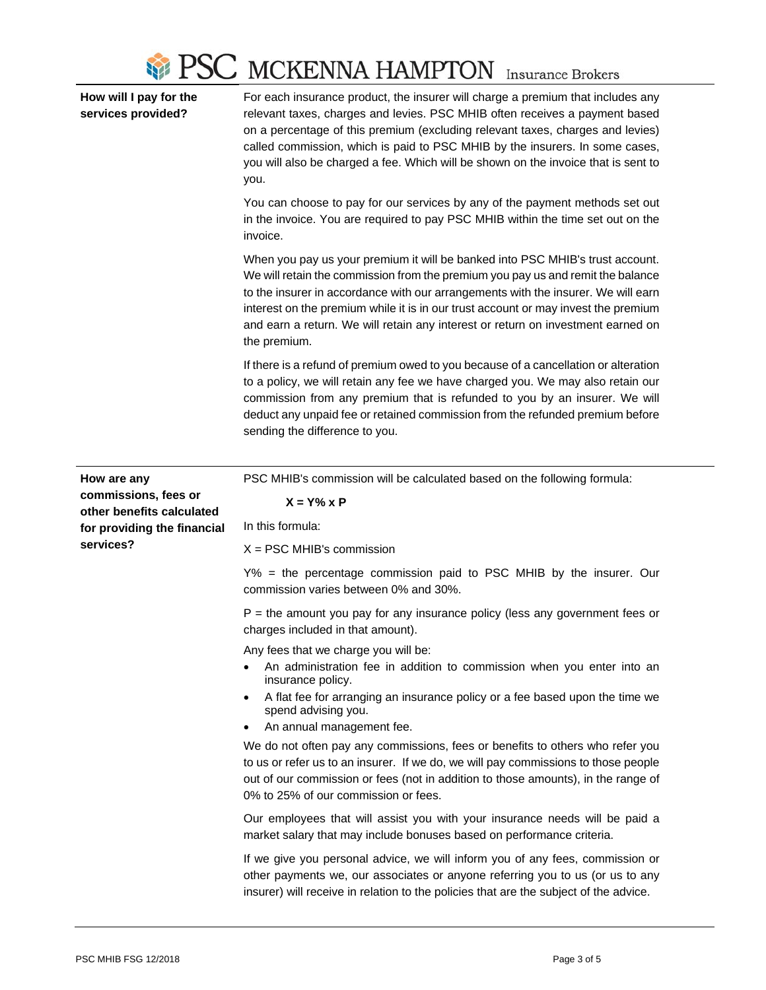

**How will I pay for the services provided?** 

For each insurance product, the insurer will charge a premium that includes any relevant taxes, charges and levies. PSC MHIB often receives a payment based on a percentage of this premium (excluding relevant taxes, charges and levies) called commission, which is paid to PSC MHIB by the insurers. In some cases, you will also be charged a fee. Which will be shown on the invoice that is sent to you.

You can choose to pay for our services by any of the payment methods set out in the invoice. You are required to pay PSC MHIB within the time set out on the invoice.

When you pay us your premium it will be banked into PSC MHIB's trust account. We will retain the commission from the premium you pay us and remit the balance to the insurer in accordance with our arrangements with the insurer. We will earn interest on the premium while it is in our trust account or may invest the premium and earn a return. We will retain any interest or return on investment earned on the premium.

If there is a refund of premium owed to you because of a cancellation or alteration to a policy, we will retain any fee we have charged you. We may also retain our commission from any premium that is refunded to you by an insurer. We will deduct any unpaid fee or retained commission from the refunded premium before sending the difference to you.

| How are any<br>commissions, fees or<br>other benefits calculated<br>for providing the financial<br>services? | PSC MHIB's commission will be calculated based on the following formula:                                                                                                                                                                                                                         |
|--------------------------------------------------------------------------------------------------------------|--------------------------------------------------------------------------------------------------------------------------------------------------------------------------------------------------------------------------------------------------------------------------------------------------|
|                                                                                                              | $X = Y\% \times P$                                                                                                                                                                                                                                                                               |
|                                                                                                              | In this formula:                                                                                                                                                                                                                                                                                 |
|                                                                                                              | $X = PSC$ MHIB's commission                                                                                                                                                                                                                                                                      |
|                                                                                                              | Y% = the percentage commission paid to PSC MHIB by the insurer. Our<br>commission varies between 0% and 30%.                                                                                                                                                                                     |
|                                                                                                              | $P =$ the amount you pay for any insurance policy (less any government fees or<br>charges included in that amount).                                                                                                                                                                              |
|                                                                                                              | Any fees that we charge you will be:                                                                                                                                                                                                                                                             |
|                                                                                                              | An administration fee in addition to commission when you enter into an<br>insurance policy.                                                                                                                                                                                                      |
|                                                                                                              | A flat fee for arranging an insurance policy or a fee based upon the time we<br>spend advising you.                                                                                                                                                                                              |
|                                                                                                              | An annual management fee.                                                                                                                                                                                                                                                                        |
|                                                                                                              | We do not often pay any commissions, fees or benefits to others who refer you<br>to us or refer us to an insurer. If we do, we will pay commissions to those people<br>out of our commission or fees (not in addition to those amounts), in the range of<br>0% to 25% of our commission or fees. |
|                                                                                                              | Our employees that will assist you with your insurance needs will be paid a<br>market salary that may include bonuses based on performance criteria.                                                                                                                                             |
|                                                                                                              | If we give you personal advice, we will inform you of any fees, commission or<br>other payments we, our associates or anyone referring you to us (or us to any<br>insurer) will receive in relation to the policies that are the subject of the advice.                                          |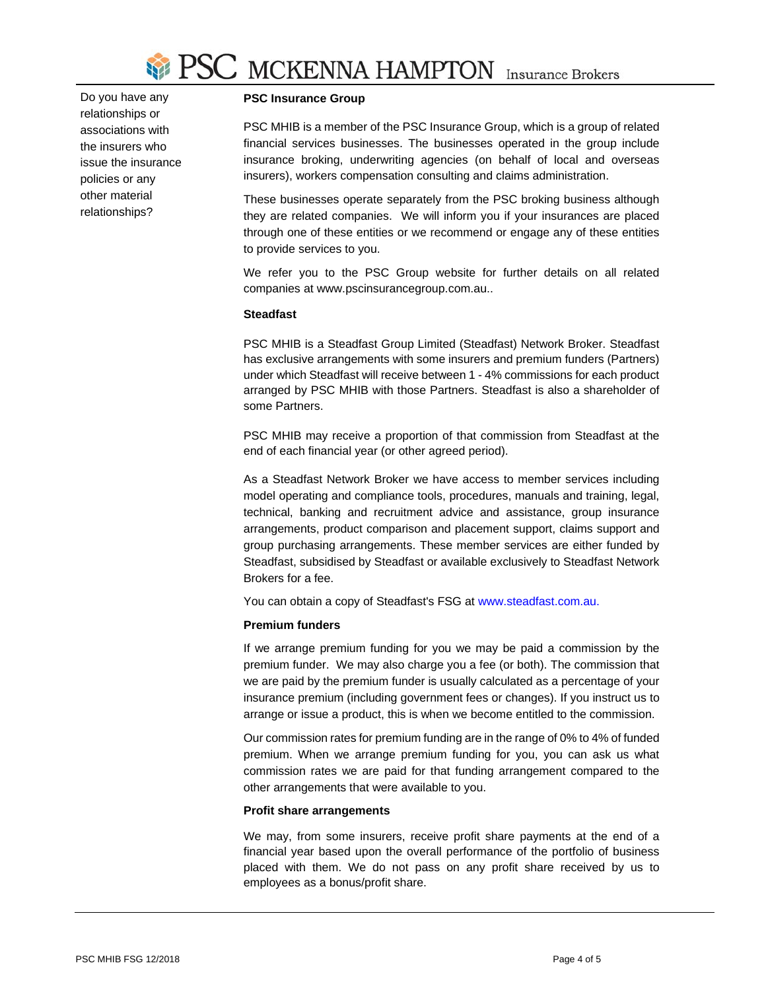

Do you have any relationships or associations with the insurers who issue the insurance policies or any other material relationships?

# **PSC Insurance Group**

PSC MHIB is a member of the PSC Insurance Group, which is a group of related financial services businesses. The businesses operated in the group include insurance broking, underwriting agencies (on behalf of local and overseas insurers), workers compensation consulting and claims administration.

These businesses operate separately from the PSC broking business although they are related companies. We will inform you if your insurances are placed through one of these entities or we recommend or engage any of these entities to provide services to you.

We refer you to the PSC Group website for further details on all related companies at www.pscinsurancegroup.com.au..

## **Steadfast**

PSC MHIB is a Steadfast Group Limited (Steadfast) Network Broker. Steadfast has exclusive arrangements with some insurers and premium funders (Partners) under which Steadfast will receive between 1 - 4% commissions for each product arranged by PSC MHIB with those Partners. Steadfast is also a shareholder of some Partners.

PSC MHIB may receive a proportion of that commission from Steadfast at the end of each financial year (or other agreed period).

As a Steadfast Network Broker we have access to member services including model operating and compliance tools, procedures, manuals and training, legal, technical, banking and recruitment advice and assistance, group insurance arrangements, product comparison and placement support, claims support and group purchasing arrangements. These member services are either funded by Steadfast, subsidised by Steadfast or available exclusively to Steadfast Network Brokers for a fee.

You can obtain a copy of Steadfast's FSG at www.steadfast.com.au.

## **Premium funders**

If we arrange premium funding for you we may be paid a commission by the premium funder. We may also charge you a fee (or both). The commission that we are paid by the premium funder is usually calculated as a percentage of your insurance premium (including government fees or changes). If you instruct us to arrange or issue a product, this is when we become entitled to the commission.

Our commission rates for premium funding are in the range of 0% to 4% of funded premium. When we arrange premium funding for you, you can ask us what commission rates we are paid for that funding arrangement compared to the other arrangements that were available to you.

## **Profit share arrangements**

We may, from some insurers, receive profit share payments at the end of a financial year based upon the overall performance of the portfolio of business placed with them. We do not pass on any profit share received by us to employees as a bonus/profit share.